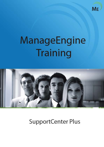

# ManageEngine Training



**SupportCenter Plus**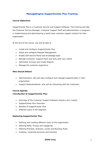# **ManageEngine SupportCenter Plus Training**

# **Course Objectives**

SupportCenter Plus is a Customer Service and Support Software. This training will help the Customer Service Manager, Customer Support Staff and administrators a vanguard in implementing and administering a world class customer support solution for their organization.

At the end of the course, you will be able to

- Install and Configure SupportCenter Plus
- Setup and configure Request Management
- Enable Self Service Portal and Knowledge base
- Manage Contracts, Support Plans and SLAs with your clients
- Administer Surveys and Create Reports
- Manage the customer experience.

# **Who Should Attend**

- Administrators, who will take configure and manage SupportCenter in their organization
- Support Representatives, who will be interacting with the customers

### **Course Agenda**

### **Introduction to SupportCenter Plus**

- Overview of the Customer Support Software industry and market
- SupportCenter Plus Overview
- Benefits of SupportCenter Plus
- Different Users in the Segment

### **Deploying SupportCenter Plus**

- Defining and creating different Users of the organization
- Defining Roles, Groups and Categories
- Defining Priorities, Statuses, Levels and Business Rules
- Creating, Importing Accounts and Contacts

### *ZOHO Corp.* 1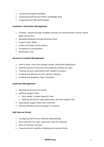- Customizing request template
- Customizing Self Service Portal, Knowledge Base
- Integrating with Microsoft Outlook

# **Customer Interaction Management**

- Creating request through available Channels of communication (Email, Phone, Web and Forums)
- Managing Requests through Business Rules
- Support Staff Notes
- Private and Public conversations
- Threading of conversations
- Notification rules

### **Account & Contact Management**

- How to store, track and manage contact information effectively?
- Defining account hierarchies and assigning contacts for each
- Tracking account associations with respect to product
- Creating and defining account specific solutions
- Creating and Assigning Topic Templates

### **Contracts Management**

- Defining Contracts for Accounts
- Defining Support Plans
	- Hour based, Incident based & Fixed
	- Defining the SLAs & associating them with the Support Plan
- Associating Support Plans with Contracts
- Defining Multiple Contracts based on Products

### **Self-Service Portal**

- Configuring Self-Service Portal by Administrator
- How customer can login, make and track his requests.
- Role of a Primary Account?
- Importance and benefits of deploying Customer Portal.

### *ZOHO Corp.* 2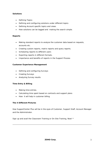# **Solutions**

- Defining Topics
- Defining and configuring solutions under different topics
- Defining Account specific topics and views
- How solutions can be tagged and making the search simple.

## **Reports**

- Making standard reports to analyze the customer data based on requests, accounts etc.
- Creating custom reports, matrix reports and query reports.
- Scheduling reports to different users
- Exporting reports in different formats.
- Importance and benefits of reports in the Support Process

### **Customer Experience Management**

- Defining and configuring Surveys
- Creating Surveys
- Analyzing Survey results

# **Time Entry & Billing**

- Making time entries.
- Calculating time spent based on contracts and support plans
- How it will help in customer billing.

# **The 4 Different Pictures**

How SupportCenter Plus will be in the eyes of Customer, Support Staff, Account Manager and the Administrator.

Sign up and avail the Classroom Training or On-Site Training, Now! \*